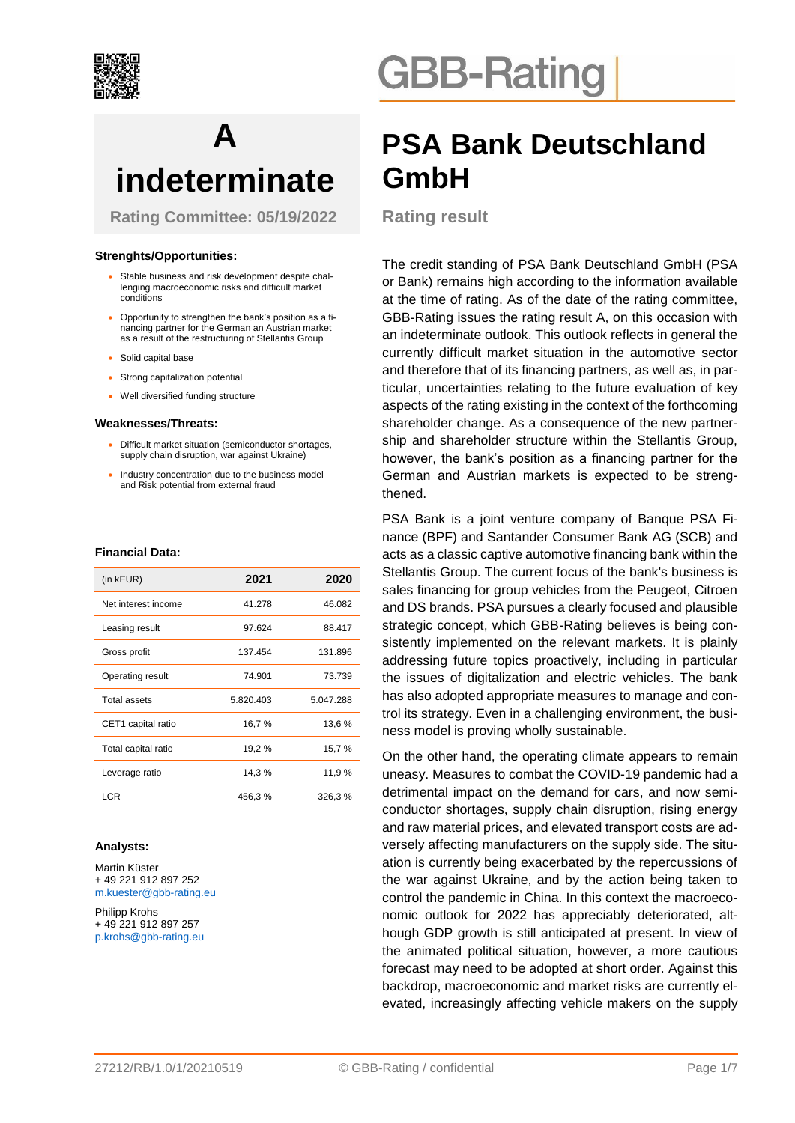

# **A indeterminate**

**Rating Committee: 05/19/2022**

#### **Strenghts/Opportunities:**

- Stable business and risk development despite challenging macroeconomic risks and difficult market conditions
- Opportunity to strengthen the bank's position as a financing partner for the German an Austrian market as a result of the restructuring of Stellantis Group
- Solid capital base
- Strong capitalization potential
- Well diversified funding structure

#### **Weaknesses/Threats:**

- Difficult market situation (semiconductor shortages, supply chain disruption, war against Ukraine)
- Industry concentration due to the business model and Risk potential from external fraud

#### **Financial Data:**

| (in kEUR)           | 2021      | 2020      |
|---------------------|-----------|-----------|
| Net interest income | 41.278    | 46.082    |
| Leasing result      | 97.624    | 88.417    |
| Gross profit        | 137.454   | 131.896   |
| Operating result    | 74.901    | 73.739    |
| Total assets        | 5.820.403 | 5.047.288 |
| CET1 capital ratio  | 16,7%     | 13,6 %    |
| Total capital ratio | 19,2 %    | 15,7%     |
| Leverage ratio      | 14,3%     | 11,9%     |
| <b>LCR</b>          | 456,3%    | 326,3%    |

#### **Analysts:**

Martin Küster + 49 221 912 897 252 m.kuester@gbb-rating.eu

Philipp Krohs + 49 221 912 897 257 p.krohs@gbb-rating.eu

# **GBB-Rating**

# **PSA Bank Deutschland GmbH**

**Rating result**

The credit standing of PSA Bank Deutschland GmbH (PSA or Bank) remains high according to the information available at the time of rating. As of the date of the rating committee, GBB-Rating issues the rating result A, on this occasion with an indeterminate outlook. This outlook reflects in general the currently difficult market situation in the automotive sector and therefore that of its financing partners, as well as, in particular, uncertainties relating to the future evaluation of key aspects of the rating existing in the context of the forthcoming shareholder change. As a consequence of the new partnership and shareholder structure within the Stellantis Group, however, the bank's position as a financing partner for the German and Austrian markets is expected to be strengthened.

PSA Bank is a joint venture company of Banque PSA Finance (BPF) and Santander Consumer Bank AG (SCB) and acts as a classic captive automotive financing bank within the Stellantis Group. The current focus of the bank's business is sales financing for group vehicles from the Peugeot, Citroen and DS brands. PSA pursues a clearly focused and plausible strategic concept, which GBB-Rating believes is being consistently implemented on the relevant markets. It is plainly addressing future topics proactively, including in particular the issues of digitalization and electric vehicles. The bank has also adopted appropriate measures to manage and control its strategy. Even in a challenging environment, the business model is proving wholly sustainable.

On the other hand, the operating climate appears to remain uneasy. Measures to combat the COVID-19 pandemic had a detrimental impact on the demand for cars, and now semiconductor shortages, supply chain disruption, rising energy and raw material prices, and elevated transport costs are adversely affecting manufacturers on the supply side. The situation is currently being exacerbated by the repercussions of the war against Ukraine, and by the action being taken to control the pandemic in China. In this context the macroeconomic outlook for 2022 has appreciably deteriorated, although GDP growth is still anticipated at present. In view of the animated political situation, however, a more cautious forecast may need to be adopted at short order. Against this backdrop, macroeconomic and market risks are currently elevated, increasingly affecting vehicle makers on the supply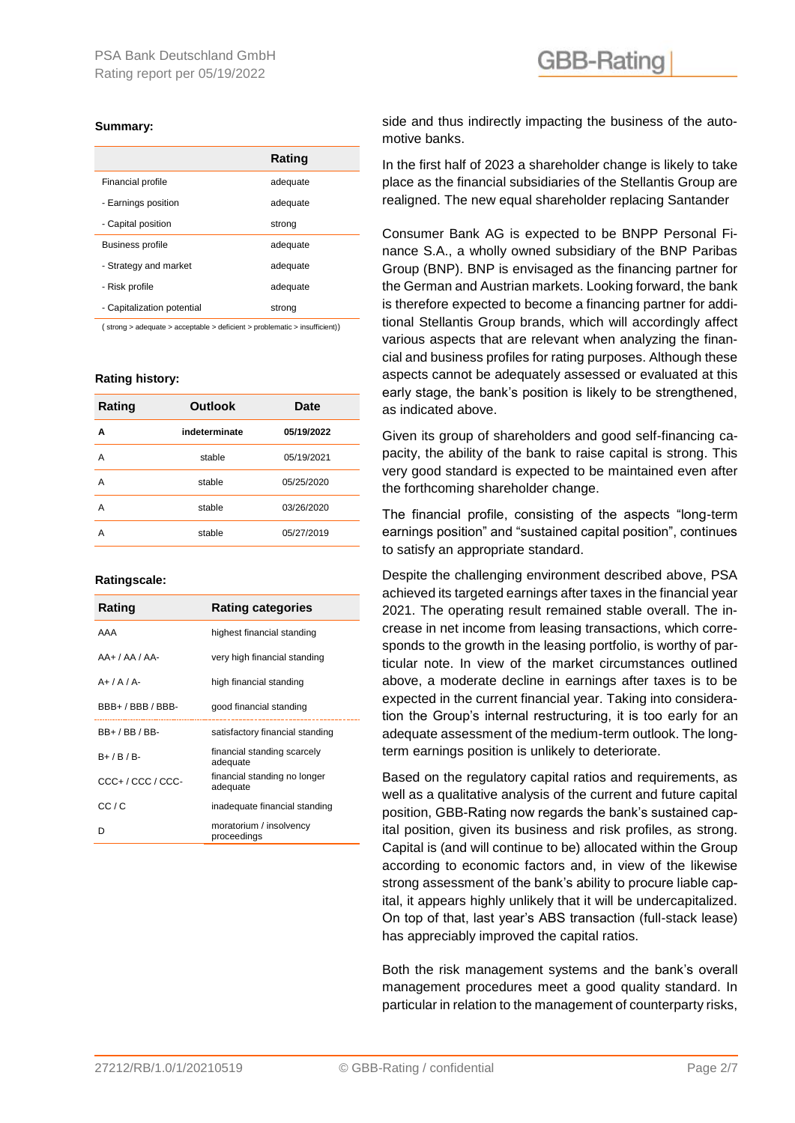#### **Summary:**

|                            | Rating   |
|----------------------------|----------|
| Financial profile          | adequate |
| - Earnings position        | adequate |
| - Capital position         | strong   |
| <b>Business profile</b>    | adequate |
| - Strategy and market      | adequate |
| - Risk profile             | adequate |
| - Capitalization potential | strong   |
|                            |          |

( strong > adequate > acceptable > deficient > problematic > insufficient))

#### **Rating history:**

| Rating | <b>Outlook</b> | <b>Date</b> |
|--------|----------------|-------------|
| A      | indeterminate  | 05/19/2022  |
| А      | stable         | 05/19/2021  |
| А      | stable         | 05/25/2020  |
| А      | stable         | 03/26/2020  |
| А      | stable         | 05/27/2019  |

#### **Ratingscale:**

| Rating            | <b>Rating categories</b>                 |
|-------------------|------------------------------------------|
| AAA               | highest financial standing               |
| $AA+ /AA/AA-$     | very high financial standing             |
| $A+/A/A-$         | high financial standing                  |
| BBB+/BBB/BBB-     | good financial standing                  |
| BB+ / BB / BB-    | satisfactory financial standing          |
| $B+$ / $B$ / $B-$ | financial standing scarcely<br>adequate  |
| CCC+/CCC/CCC-     | financial standing no longer<br>adequate |
| CC/ C             | inadequate financial standing            |
| n                 | moratorium / insolvency<br>proceedings   |

side and thus indirectly impacting the business of the automotive banks.

In the first half of 2023 a shareholder change is likely to take place as the financial subsidiaries of the Stellantis Group are realigned. The new equal shareholder replacing Santander

Consumer Bank AG is expected to be BNPP Personal Finance S.A., a wholly owned subsidiary of the BNP Paribas Group (BNP). BNP is envisaged as the financing partner for the German and Austrian markets. Looking forward, the bank is therefore expected to become a financing partner for additional Stellantis Group brands, which will accordingly affect various aspects that are relevant when analyzing the financial and business profiles for rating purposes. Although these aspects cannot be adequately assessed or evaluated at this early stage, the bank's position is likely to be strengthened, as indicated above.

Given its group of shareholders and good self-financing capacity, the ability of the bank to raise capital is strong. This very good standard is expected to be maintained even after the forthcoming shareholder change.

The financial profile, consisting of the aspects "long-term earnings position" and "sustained capital position", continues to satisfy an appropriate standard.

Despite the challenging environment described above, PSA achieved its targeted earnings after taxes in the financial year 2021. The operating result remained stable overall. The increase in net income from leasing transactions, which corresponds to the growth in the leasing portfolio, is worthy of particular note. In view of the market circumstances outlined above, a moderate decline in earnings after taxes is to be expected in the current financial year. Taking into consideration the Group's internal restructuring, it is too early for an adequate assessment of the medium-term outlook. The longterm earnings position is unlikely to deteriorate.

Based on the regulatory capital ratios and requirements, as well as a qualitative analysis of the current and future capital position, GBB-Rating now regards the bank's sustained capital position, given its business and risk profiles, as strong. Capital is (and will continue to be) allocated within the Group according to economic factors and, in view of the likewise strong assessment of the bank's ability to procure liable capital, it appears highly unlikely that it will be undercapitalized. On top of that, last year's ABS transaction (full-stack lease) has appreciably improved the capital ratios.

Both the risk management systems and the bank's overall management procedures meet a good quality standard. In particular in relation to the management of counterparty risks,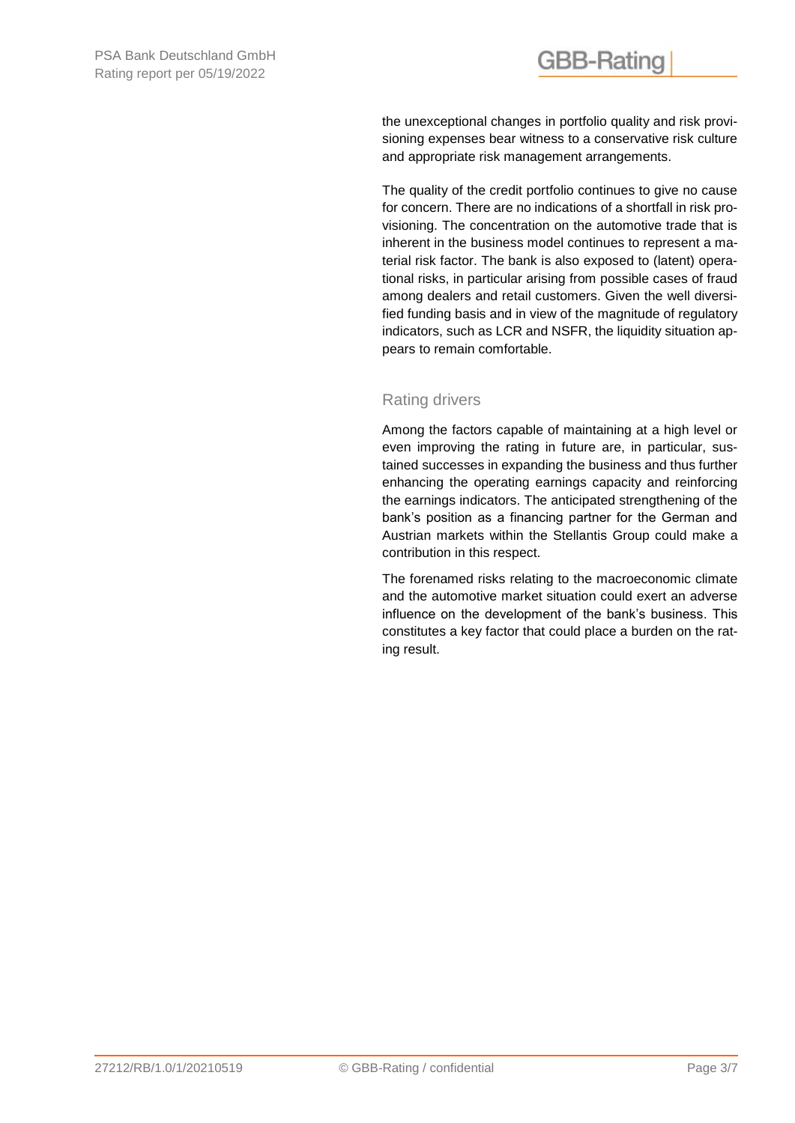the unexceptional changes in portfolio quality and risk provisioning expenses bear witness to a conservative risk culture and appropriate risk management arrangements.

The quality of the credit portfolio continues to give no cause for concern. There are no indications of a shortfall in risk provisioning. The concentration on the automotive trade that is inherent in the business model continues to represent a material risk factor. The bank is also exposed to (latent) operational risks, in particular arising from possible cases of fraud among dealers and retail customers. Given the well diversified funding basis and in view of the magnitude of regulatory indicators, such as LCR and NSFR, the liquidity situation appears to remain comfortable.

### Rating drivers

Among the factors capable of maintaining at a high level or even improving the rating in future are, in particular, sustained successes in expanding the business and thus further enhancing the operating earnings capacity and reinforcing the earnings indicators. The anticipated strengthening of the bank's position as a financing partner for the German and Austrian markets within the Stellantis Group could make a contribution in this respect.

The forenamed risks relating to the macroeconomic climate and the automotive market situation could exert an adverse influence on the development of the bank's business. This constitutes a key factor that could place a burden on the rating result.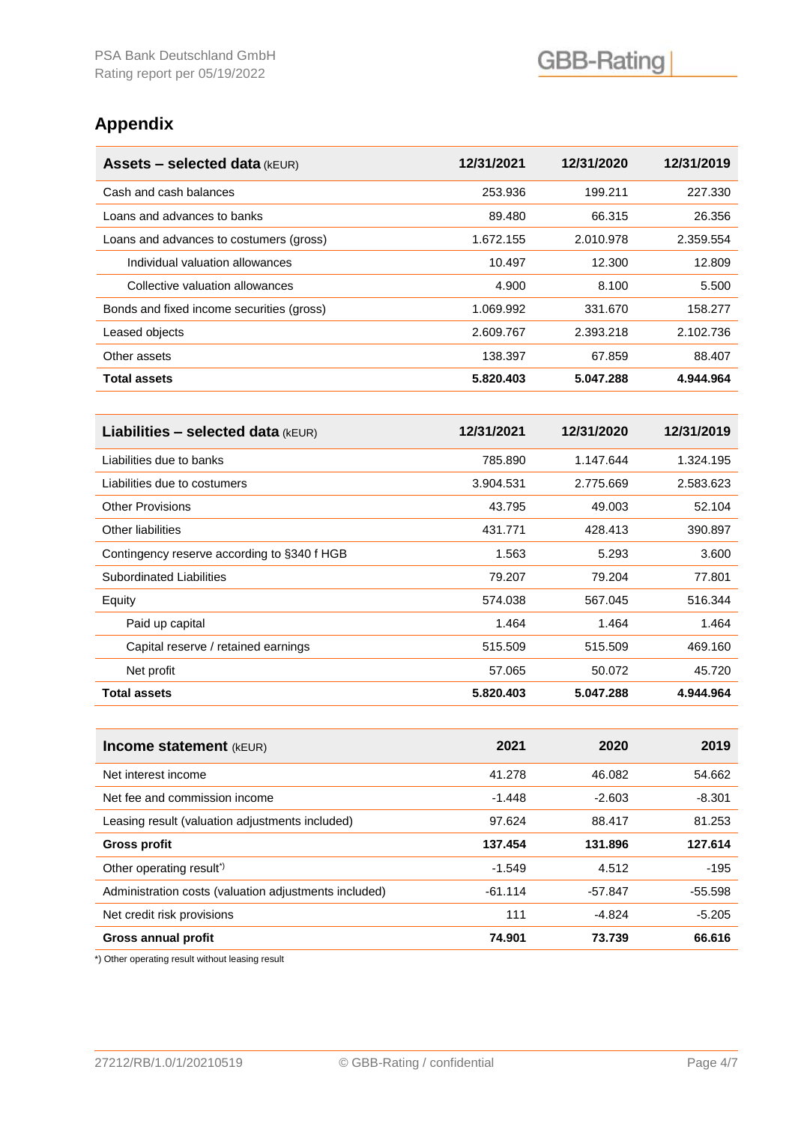### **Appendix**

| <b>Assets - selected data (kEUR)</b>      | 12/31/2021 | 12/31/2020 | 12/31/2019 |
|-------------------------------------------|------------|------------|------------|
| Cash and cash balances                    | 253.936    | 199.211    | 227.330    |
| Loans and advances to banks               | 89.480     | 66.315     | 26.356     |
| Loans and advances to costumers (gross)   | 1.672.155  | 2.010.978  | 2.359.554  |
| Individual valuation allowances           | 10.497     | 12.300     | 12.809     |
| Collective valuation allowances           | 4.900      | 8.100      | 5.500      |
| Bonds and fixed income securities (gross) | 1.069.992  | 331.670    | 158.277    |
| Leased objects                            | 2.609.767  | 2.393.218  | 2.102.736  |
| Other assets                              | 138.397    | 67.859     | 88.407     |
| <b>Total assets</b>                       | 5.820.403  | 5.047.288  | 4.944.964  |

| <b>Liabilities – selected data</b> ( $kEUR$ ) | 12/31/2021 | 12/31/2020 | 12/31/2019 |
|-----------------------------------------------|------------|------------|------------|
| Liabilities due to banks                      | 785.890    | 1.147.644  | 1.324.195  |
| Liabilities due to costumers                  | 3.904.531  | 2.775.669  | 2.583.623  |
| <b>Other Provisions</b>                       | 43.795     | 49.003     | 52.104     |
| Other liabilities                             | 431.771    | 428.413    | 390.897    |
| Contingency reserve according to §340 f HGB   | 1.563      | 5.293      | 3.600      |
| Subordinated Liabilities                      | 79.207     | 79.204     | 77.801     |
| Equity                                        | 574.038    | 567.045    | 516.344    |
| Paid up capital                               | 1.464      | 1.464      | 1.464      |
| Capital reserve / retained earnings           | 515.509    | 515.509    | 469.160    |
| Net profit                                    | 57.065     | 50.072     | 45.720     |
| <b>Total assets</b>                           | 5.820.403  | 5.047.288  | 4.944.964  |

| <b>Income statement</b> (kEUR)                        | 2021      | 2020      | 2019      |
|-------------------------------------------------------|-----------|-----------|-----------|
| Net interest income                                   | 41.278    | 46.082    | 54.662    |
| Net fee and commission income                         | $-1.448$  | $-2.603$  | $-8.301$  |
| Leasing result (valuation adjustments included)       | 97.624    | 88.417    | 81.253    |
| <b>Gross profit</b>                                   | 137.454   | 131.896   | 127.614   |
| Other operating result <sup>*</sup>                   | $-1.549$  | 4.512     | $-195$    |
| Administration costs (valuation adjustments included) | $-61.114$ | $-57.847$ | $-55.598$ |
| Net credit risk provisions                            | 111       | $-4.824$  | $-5.205$  |
| <b>Gross annual profit</b>                            | 74.901    | 73.739    | 66.616    |

\*) Other operating result without leasing result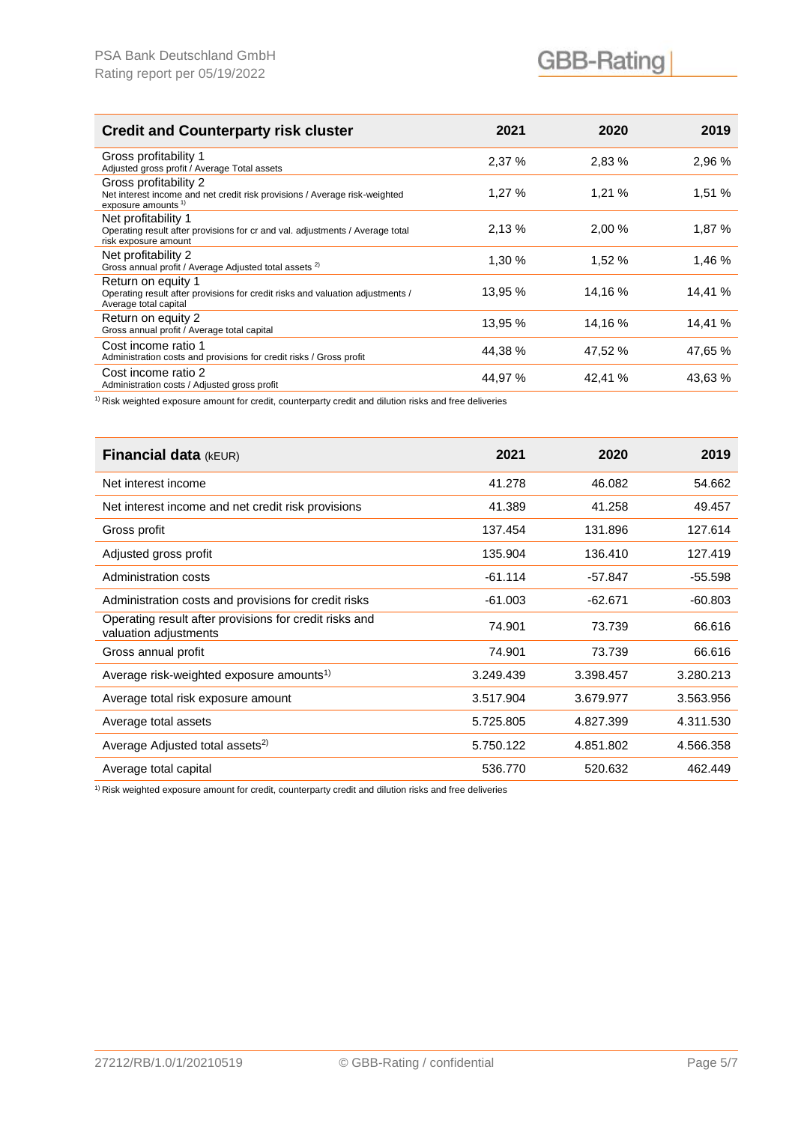| <b>Credit and Counterparty risk cluster</b>                                                                                           | 2021    | 2020    | 2019    |
|---------------------------------------------------------------------------------------------------------------------------------------|---------|---------|---------|
| Gross profitability 1<br>Adjusted gross profit / Average Total assets                                                                 | 2,37 %  | 2,83 %  | 2,96 %  |
| Gross profitability 2<br>Net interest income and net credit risk provisions / Average risk-weighted<br>exposure amounts <sup>1)</sup> | 1,27 %  | 1,21%   | 1,51 %  |
| Net profitability 1<br>Operating result after provisions for cr and val. adjustments / Average total<br>risk exposure amount          | 2.13 %  | 2,00 %  | 1,87 %  |
| Net profitability 2<br>Gross annual profit / Average Adjusted total assets <sup>2)</sup>                                              | 1,30 %  | 1,52 %  | 1,46 %  |
| Return on equity 1<br>Operating result after provisions for credit risks and valuation adjustments /<br>Average total capital         | 13.95 % | 14.16 % | 14.41 % |
| Return on equity 2<br>Gross annual profit / Average total capital                                                                     | 13,95 % | 14,16 % | 14,41 % |
| Cost income ratio 1<br>Administration costs and provisions for credit risks / Gross profit                                            | 44.38%  | 47.52 % | 47.65 % |
| Cost income ratio 2<br>Administration costs / Adjusted gross profit                                                                   | 44,97 % | 42.41 % | 43,63 % |

<sup>1)</sup> Risk weighted exposure amount for credit, counterparty credit and dilution risks and free deliveries

| Financial data (kEUR)                                                           | 2021      | 2020      | 2019      |
|---------------------------------------------------------------------------------|-----------|-----------|-----------|
| Net interest income                                                             | 41.278    | 46.082    | 54.662    |
| Net interest income and net credit risk provisions                              | 41.389    | 41.258    | 49.457    |
| Gross profit                                                                    | 137.454   | 131.896   | 127.614   |
| Adjusted gross profit                                                           | 135.904   | 136.410   | 127.419   |
| Administration costs                                                            | $-61.114$ | $-57.847$ | $-55.598$ |
| Administration costs and provisions for credit risks                            | $-61.003$ | $-62.671$ | $-60.803$ |
| Operating result after provisions for credit risks and<br>valuation adjustments | 74.901    | 73.739    | 66.616    |
| Gross annual profit                                                             | 74.901    | 73.739    | 66.616    |
| Average risk-weighted exposure amounts <sup>1)</sup>                            | 3.249.439 | 3.398.457 | 3.280.213 |
| Average total risk exposure amount                                              | 3.517.904 | 3.679.977 | 3.563.956 |
| Average total assets                                                            | 5.725.805 | 4.827.399 | 4.311.530 |
| Average Adjusted total assets <sup>2)</sup>                                     | 5.750.122 | 4.851.802 | 4.566.358 |
| Average total capital                                                           | 536,770   | 520.632   | 462,449   |

1) Risk weighted exposure amount for credit, counterparty credit and dilution risks and free deliveries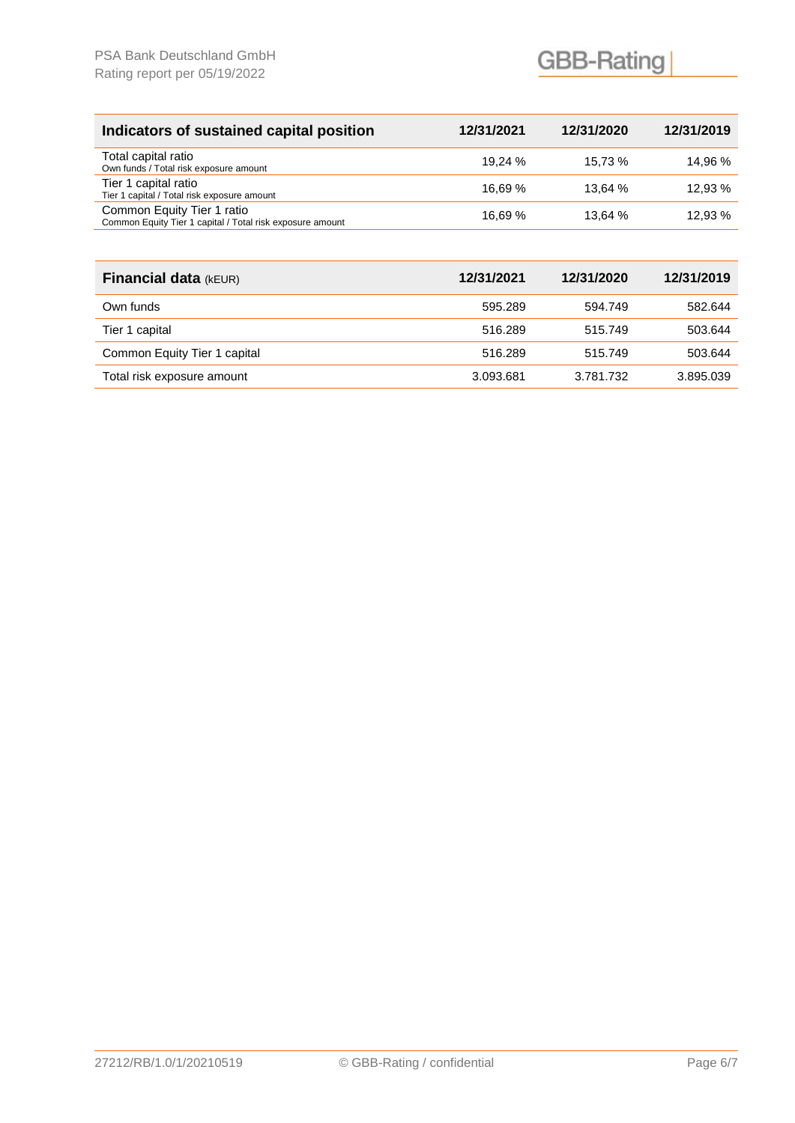|         | 12/31/2020 | 12/31/2019 |
|---------|------------|------------|
| 19.24 % | 15.73 %    | 14.96 %    |
| 16.69 % | 13.64 %    | 12.93 %    |
| 16.69 % | 13.64%     | 12.93 %    |
|         | 12/31/2021 |            |

| <b>Financial data (kEUR)</b> | 12/31/2021 | 12/31/2020 | 12/31/2019 |
|------------------------------|------------|------------|------------|
| Own funds                    | 595.289    | 594.749    | 582.644    |
| Tier 1 capital               | 516.289    | 515.749    | 503.644    |
| Common Equity Tier 1 capital | 516.289    | 515.749    | 503.644    |
| Total risk exposure amount   | 3.093.681  | 3.781.732  | 3.895.039  |